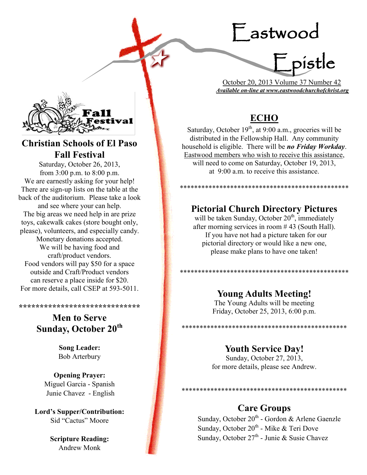# Eastwood



 October 20, 2013 Volume 37 Number 42 *Available on-line at www.eastwoodchurchofchrist.org*

# **ECHO**

Saturday, October  $19<sup>th</sup>$ , at 9:00 a.m., groceries will be distributed in the Fellowship Hall. Any community household is eligible. There will be *no Friday Workday*. Eastwood members who wish to receive this assistance, will need to come on Saturday, October 19, 2013, at 9:00 a.m. to receive this assistance.

# **Pictorial Church Directory Pictures**

\*\*\*\*\*\*\*\*\*\*\*\*\*\*\*\*\*\*\*\*\*\*\*\*\*\*\*\*\*\*\*\*\*\*\*\*\*\*\*\*\*\*\*\*\*\*\*

will be taken Sunday, October  $20<sup>th</sup>$ , immediately after morning services in room # 43 (South Hall). If you have not had a picture taken for our pictorial directory or would like a new one, please make plans to have one taken!

\*\*\*\*\*\*\*\*\*\*\*\*\*\*\*\*\*\*\*\*\*\*\*\*\*\*\*\*\*\*\*\*\*\*\*\*\*\*\*\*\*\*\*\*\*\*\*

# **Young Adults Meeting!**

The Young Adults will be meeting Friday, October 25, 2013, 6:00 p.m.

\*\*\*\*\*\*\*\*\*\*\*\*\*\*\*\*\*\*\*\*\*\*\*\*\*\*\*\*\*\*\*\*\*\*\*\*\*\*\*\*\*\*\*\*\*\*

## **Youth Service Day!**

Sunday, October 27, 2013, for more details, please see Andrew.

# **Care Groups**

Sunday, October 20<sup>th</sup> - Gordon & Arlene Gaenzle Sunday, October 20<sup>th</sup> - Mike & Teri Dove Sunday, October 27<sup>th</sup> - Junie & Susie Chavez

\*\*\*\*\*\*\*\*\*\*\*\*\*\*\*\*\*\*\*\*\*\*\*\*\*\*\*\*\*\*\*\*\*\*\*\*\*\*\*\*\*\*\*\*\*\*



# **Christian Schools of El Paso Fall Festival**

Saturday, October 26, 2013, from 3:00 p.m. to 8:00 p.m. We are earnestly asking for your help! There are sign-up lists on the table at the back of the auditorium. Please take a look and see where your can help. The big areas we need help in are prize toys, cakewalk cakes (store bought only, please), volunteers, and especially candy. Monetary donations accepted. We will be having food and craft/product vendors. Food vendors will pay \$50 for a space outside and Craft/Product vendors can reserve a place inside for \$20. For more details, call CSEP at 593-5011.

## **\*\*\*\*\*\*\*\*\*\*\*\*\*\*\*\*\*\*\*\*\*\*\*\*\*\*\*\*\***

# **Men to Serve Sunday, October 20th**

**Song Leader:**  Bob Arterbury

**Opening Prayer:** Miguel Garcia - Spanish Junie Chavez - English

**Lord's Supper/Contribution:**  Sid "Cactus" Moore

> **Scripture Reading:**  Andrew Monk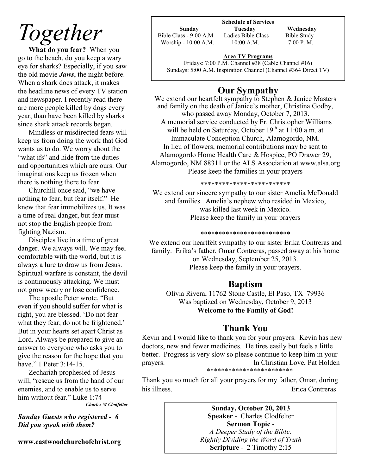# *Together*

**What do you fear?** When you go to the beach, do you keep a wary eye for sharks? Especially, if you saw the old movie *Jaws*, the night before. When a shark does attack, it makes the headline news of every TV station and newspaper. I recently read there are more people killed by dogs every year, than have been killed by sharks since shark attack records began.

Mindless or misdirected fears will keep us from doing the work that God wants us to do. We worry about the "what ifs" and hide from the duties" and opportunities which are ours. Our imaginations keep us frozen when there is nothing there to fear.

Churchill once said, "we have nothing to fear, but fear itself." He knew that fear immobilizes us. It was a time of real danger, but fear must not stop the English people from fighting Nazism.

Disciples live in a time of great danger. We always will. We may feel comfortable with the world, but it is always a lure to draw us from Jesus. Spiritual warfare is constant, the devil is continuously attacking. We must not grow weary or lose confidence.

The apostle Peter wrote, "But even if you should suffer for what is right, you are blessed. 'Do not fear what they fear; do not be frightened.' But in your hearts set apart Christ as Lord. Always be prepared to give an answer to everyone who asks you to give the reason for the hope that you have." 1 Peter 3:14-15.

Zechariah prophesied of Jesus will, "rescue us from the hand of our enemies, and to enable us to serve him without fear." Luke 1:74 *Charles M Clodfelter*

*Sunday Guests who registered - 6 Did you speak with them?*

**www.eastwoodchurchofchrist.org**

## **Schedule of Services**

Bible Class - 9:00 A.M. Ladies Bible Class Bible Study Worship - 10:00 A.M. 10:00 A.M. 7:00 P.M.

**Sunday Tuesday Wednesday**

## **Area TV Programs**

Fridays: 7:00 P.M. Channel #38 (Cable Channel #16) Sundays: 5:00 A.M. Inspiration Channel (Channel #364 Direct TV)

## **Our Sympathy**

We extend our heartfelt sympathy to Stephen & Janice Masters and family on the death of Janice's mother, Christina Godby, who passed away Monday, October 7, 2013. A memorial service conducted by Fr. Christopher Williams will be held on Saturday, October  $19<sup>th</sup>$  at  $11:00$  a.m. at Immaculate Conception Church, Alamogordo, NM. In lieu of flowers, memorial contributions may be sent to Alamogordo Home Health Care & Hospice, PO Drawer 29, Alamogordo, NM 88311 or the ALS Association at www.alsa.org Please keep the families in your prayers

### \*\*\*\*\*\*\*\*\*\*\*\*\*\*\*\*\*\*\*\*\*\*\*\*\*

We extend our sincere sympathy to our sister Amelia McDonald and families. Amelia's nephew who resided in Mexico, was killed last week in Mexico. Please keep the family in your prayers

### \*\*\*\*\*\*\*\*\*\*\*\*\*\*\*\*\*\*\*\*\*\*\*\*\*

We extend our heartfelt sympathy to our sister Erika Contreras and family. Erika's father, Omar Contreras, passed away at his home on Wednesday, September 25, 2013. Please keep the family in your prayers.

## **Baptism**

Olivia Rivera, 11762 Stone Castle, El Paso, TX 79936 Was baptized on Wednesday, October 9, 2013 **Welcome to the Family of God!** 

## **Thank You**

Kevin and I would like to thank you for your prayers. Kevin has new doctors, new and fewer medicines. He tires easily but feels a little better. Progress is very slow so please continue to keep him in your prayers. In Christian Love, Pat Holden \*\*\*\*\*\*\*\*\*\*\*\*\*\*\*\*\*\*\*\*\*\*\*\*

Thank you so much for all your prayers for my father, Omar, during his illness. Erica Contreras

> **Sunday, October 20, 2013 Speaker** - Charles Clodfelter **Sermon Topic** - *A Deeper Study of the Bible: Rightly Dividing the Word of Truth* **Scripture** - 2 Timothy 2:15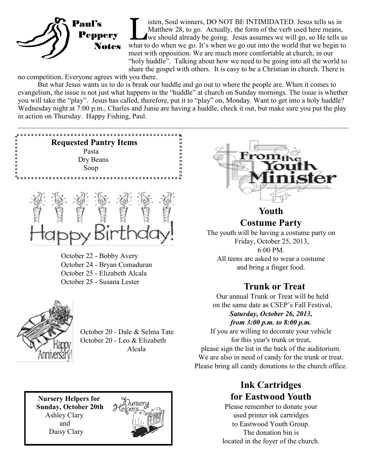

isten, Soul winners, DO NOT BE INTIMIDATED. Jesus tells us in<br>Matthew 28, to go. Actually, the form of the verb used here means,<br>we should already be going. Jesus assumes we will go, so He tells us<br>what to do when we go. I isten, Soul winners, DO NOT BE INTIMIDATED. Jesus tells us in Matthew 28, to go. Actually, the form of the verb used here means, we should already be going. Jesus assumes we will go, so He tells us meet with opposition. We are much more comfortable at church, in our "holy huddle". Talking about how we need to be going into all the world to share the gospel with others. It is easy to be a Christian in church. There is

no competition. Everyone agrees with you there.

 But what Jesus wants us to do is break our huddle and go out to where the people are. When it comes to evangelism, the issue is not just what happens in the "huddle" at church on Sunday mornings. The issue is whether you will take the "play". Jesus has called, therefore, put it to "play" on, Monday. Want to get into a holy huddle? Wednesday night at 7:00 p.m., Charles and Junie are having a huddle, check it out, but make sure you put the play in action on Thursday. Happy Fishing, Paul.



October 22 - Bobby Avery October 24 - Bryan Comaduran October 25 - Elizabeth Alcala October 25 - Susana Lester



 October 20 - Dale & Selma Tate October 20 - Leo & Elizabeth Alcala

 **Nursery Helpers for Sunday, October 20th** Ashley Clary and Daisy Clary





**Youth Costume Party**

The youth will be having a costume party on Friday, October 25, 2013, 6:00 PM. All teens are asked to wear a costume and bring a finger food.

# **Trunk or Treat**

Our annual Trunk or Treat will be held on the same date as CSEP's Fall Festival, *Saturday, October 26, 2013, from 3:00 p.m. to 8:00 p.m.* 

If you are willing to decorate your vehicle for this year's trunk or treat, please sign the list in the back of the auditorium. We are also in need of candy for the trunk or treat. Please bring all candy donations to the church office.

# **Ink Cartridges for Eastwood Youth**

Please remember to donate your used printer ink cartridges to Eastwood Youth Group. The donation bin is located in the foyer of the church.